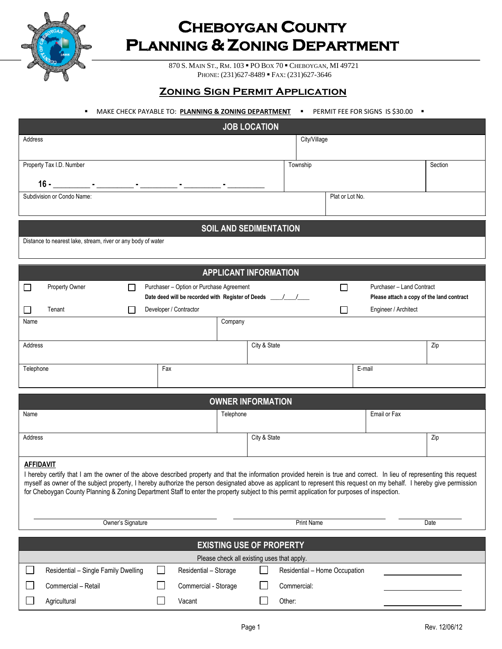

 $\Box$ 

# **CHEBOYGAN COUNTY PLANNING & ZONING DEPARTMENT**

870 S. MAIN ST., RM. 103 PO BOX 70 CHEBOYGAN, MI 49721 PHONE: (231)627-8489 FAX: (231)627-3646

## **Zoning Sign Permit Application**

#### **•** MAKE CHECK PAYABLE TO: **PLANNING & ZONING DEPARTMENT •** PERMIT FEE FOR SIGNS IS \$30.00 **•**

| <b>JOB LOCATION</b>                                                                                                                                                                                                                                                                                                   |           |                               |                   |                               |                                           |         |
|-----------------------------------------------------------------------------------------------------------------------------------------------------------------------------------------------------------------------------------------------------------------------------------------------------------------------|-----------|-------------------------------|-------------------|-------------------------------|-------------------------------------------|---------|
| Address                                                                                                                                                                                                                                                                                                               |           |                               | City/Village      |                               |                                           |         |
|                                                                                                                                                                                                                                                                                                                       |           |                               |                   |                               |                                           |         |
| Property Tax I.D. Number                                                                                                                                                                                                                                                                                              |           |                               | Township          |                               |                                           | Section |
| <u>16 - Parameter American American American American American American American American American American American A</u>                                                                                                                                                                                            |           |                               |                   |                               |                                           |         |
| Subdivision or Condo Name:                                                                                                                                                                                                                                                                                            |           |                               |                   | Plat or Lot No.               |                                           |         |
|                                                                                                                                                                                                                                                                                                                       |           |                               |                   |                               |                                           |         |
|                                                                                                                                                                                                                                                                                                                       |           | <b>SOIL AND SEDIMENTATION</b> |                   |                               |                                           |         |
| Distance to nearest lake, stream, river or any body of water                                                                                                                                                                                                                                                          |           |                               |                   |                               |                                           |         |
|                                                                                                                                                                                                                                                                                                                       |           |                               |                   |                               |                                           |         |
|                                                                                                                                                                                                                                                                                                                       |           | <b>APPLICANT INFORMATION</b>  |                   |                               |                                           |         |
| Property Owner<br>Purchaser - Option or Purchase Agreement<br>$\Box$<br>$\mathbf{I}$                                                                                                                                                                                                                                  |           |                               |                   | $\Box$                        | Purchaser - Land Contract                 |         |
| Date deed will be recorded with Register of Deeds _______________________________                                                                                                                                                                                                                                     |           |                               |                   |                               | Please attach a copy of the land contract |         |
| Developer / Contractor<br>Tenant<br>$\mathbf{I}$                                                                                                                                                                                                                                                                      |           |                               |                   | $\perp$                       | Engineer / Architect                      |         |
| Name                                                                                                                                                                                                                                                                                                                  | Company   |                               |                   |                               |                                           |         |
| Address                                                                                                                                                                                                                                                                                                               |           | City & State                  |                   |                               |                                           | Zip     |
|                                                                                                                                                                                                                                                                                                                       |           |                               |                   |                               |                                           |         |
| Fax<br>Telephone                                                                                                                                                                                                                                                                                                      |           |                               |                   | E-mail                        |                                           |         |
|                                                                                                                                                                                                                                                                                                                       |           |                               |                   |                               |                                           |         |
|                                                                                                                                                                                                                                                                                                                       |           | <b>OWNER INFORMATION</b>      |                   |                               |                                           |         |
| Name                                                                                                                                                                                                                                                                                                                  | Telephone |                               |                   |                               | Email or Fax                              |         |
|                                                                                                                                                                                                                                                                                                                       |           |                               |                   |                               |                                           |         |
| Address                                                                                                                                                                                                                                                                                                               |           | City & State                  |                   |                               |                                           | Zip     |
|                                                                                                                                                                                                                                                                                                                       |           |                               |                   |                               |                                           |         |
| <b>AFFIDAVIT</b><br>I hereby certify that I am the owner of the above described property and that the information provided herein is true and correct. In lieu of representing this request                                                                                                                           |           |                               |                   |                               |                                           |         |
| myself as owner of the subject property, I hereby authorize the person designated above as applicant to represent this request on my behalf. I hereby give permission<br>for Cheboygan County Planning & Zoning Department Staff to enter the property subject to this permit application for purposes of inspection. |           |                               |                   |                               |                                           |         |
|                                                                                                                                                                                                                                                                                                                       |           |                               |                   |                               |                                           |         |
|                                                                                                                                                                                                                                                                                                                       |           |                               |                   |                               |                                           |         |
| Owner's Signature                                                                                                                                                                                                                                                                                                     |           |                               | <b>Print Name</b> |                               |                                           | Date    |
| <b>EXISTING USE OF PROPERTY</b>                                                                                                                                                                                                                                                                                       |           |                               |                   |                               |                                           |         |
| Please check all existing uses that apply.                                                                                                                                                                                                                                                                            |           |                               |                   |                               |                                           |         |
| Residential - Single Family Dwelling<br>Residential - Storage                                                                                                                                                                                                                                                         |           |                               |                   | Residential - Home Occupation |                                           |         |
| Commercial - Retail<br>Commercial - Storage                                                                                                                                                                                                                                                                           |           | Commercial:                   |                   |                               |                                           |         |

Agricultural **Contract Contract Contract Contract Contract Contract Contract Contract Contract Contract Contract Contract Contract Contract Contract Contract Contract Contract Contract Contract Contract Contract Contract C**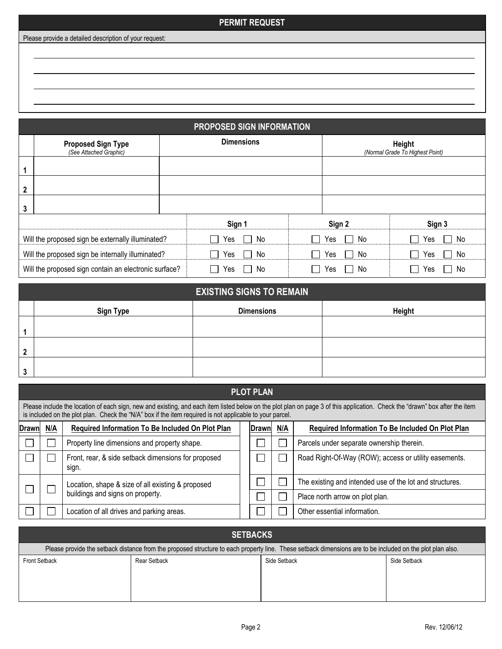### **PERMIT REQUEST**

Please provide a detailed description of your request:

**PROPOSED SIGN INFORMATION Proposed Sign Type** *(See Attached Graphic)* **Dimensions Height** *(Normal Grade To Highest Point)* **1 2 3 Sign 1 Sign 2 Sign 3** Will the proposed sign be externally illuminated?  $\Box$  Yes  $\Box$  No  $\Box$  Yes  $\Box$  No  $\Box$  Yes  $\Box$  No Will the proposed sign be internally illuminated?  $\Box$  Yes  $\Box$  No  $\Box$  Yes  $\Box$  No  $\Box$  Yes  $\Box$  No Will the proposed sign contain an electronic surface?  $\Box$  Yes  $\Box$  No  $\Box$  Yes  $\Box$  No  $\Box$  Yes  $\Box$  No

|         | <b>EXISTING SIGNS TO REMAIN</b> |                   |        |  |  |  |
|---------|---------------------------------|-------------------|--------|--|--|--|
|         | <b>Sign Type</b>                | <b>Dimensions</b> | Height |  |  |  |
|         |                                 |                   |        |  |  |  |
| ົ       |                                 |                   |        |  |  |  |
| ≏<br>×. |                                 |                   |        |  |  |  |

| <b>PLOT PLAN</b>                                                                                                                                                                                                                                                                        |     |                                                                                       |  |                |     |                                                          |
|-----------------------------------------------------------------------------------------------------------------------------------------------------------------------------------------------------------------------------------------------------------------------------------------|-----|---------------------------------------------------------------------------------------|--|----------------|-----|----------------------------------------------------------|
| Please include the location of each sign, new and existing, and each item listed below on the plot plan on page 3 of this application. Check the "drawn" box after the item<br>is included on the plot plan. Check the "N/A" box if the item required is not applicable to your parcel. |     |                                                                                       |  |                |     |                                                          |
| Drawn                                                                                                                                                                                                                                                                                   | N/A | Required Information To Be Included On Plot Plan                                      |  | <b>IDrawnl</b> | N/A | Required Information To Be Included On Plot Plan         |
|                                                                                                                                                                                                                                                                                         |     | Property line dimensions and property shape.                                          |  |                |     | Parcels under separate ownership therein.                |
|                                                                                                                                                                                                                                                                                         |     | Front, rear, & side setback dimensions for proposed<br>sign.                          |  |                |     | Road Right-Of-Way (ROW); access or utility easements.    |
|                                                                                                                                                                                                                                                                                         |     | Location, shape & size of all existing & proposed<br>buildings and signs on property. |  |                |     | The existing and intended use of the lot and structures. |
|                                                                                                                                                                                                                                                                                         |     |                                                                                       |  |                |     | Place north arrow on plot plan.                          |
|                                                                                                                                                                                                                                                                                         |     | Location of all drives and parking areas.                                             |  |                |     | Other essential information.                             |

| <b>SETBACKS</b>                                                                                                                                           |              |              |              |  |  |
|-----------------------------------------------------------------------------------------------------------------------------------------------------------|--------------|--------------|--------------|--|--|
| Please provide the setback distance from the proposed structure to each property line. These setback dimensions are to be included on the plot plan also. |              |              |              |  |  |
| <b>Front Setback</b>                                                                                                                                      | Rear Setback | Side Setback | Side Setback |  |  |
|                                                                                                                                                           |              |              |              |  |  |
|                                                                                                                                                           |              |              |              |  |  |
|                                                                                                                                                           |              |              |              |  |  |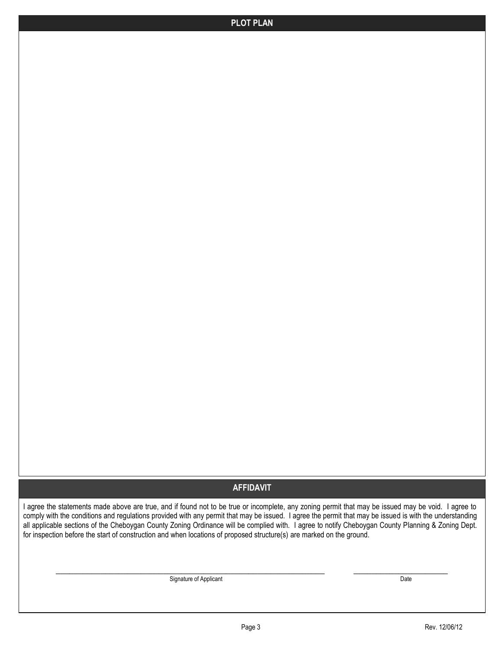## **AFFIDAVIT**

I agree the statements made above are true, and if found not to be true or incomplete, any zoning permit that may be issued may be void. I agree to comply with the conditions and regulations provided with any permit that may be issued. I agree the permit that may be issued is with the understanding all applicable sections of the Cheboygan County Zoning Ordinance will be complied with. I agree to notify Cheboygan County Planning & Zoning Dept. for inspection before the start of construction and when locations of proposed structure(s) are marked on the ground.

\_\_\_\_\_\_\_\_\_\_\_\_\_\_\_\_\_\_\_\_\_\_\_\_\_\_\_\_\_\_\_\_\_\_\_\_\_\_\_\_\_\_\_\_\_\_\_\_\_\_\_\_\_\_\_\_\_\_\_\_ \_\_\_\_\_\_\_\_\_\_\_\_\_\_\_\_\_\_\_\_\_

Signature of Applicant Date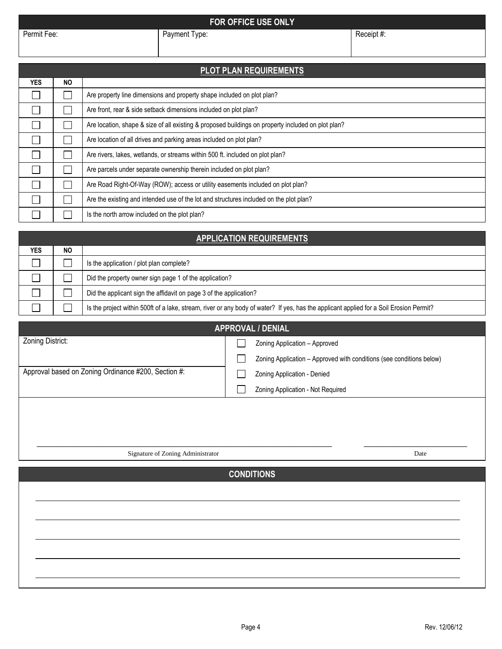## **FOR OFFICE USE ONLY**

| <b>PLOT PLAN REQUIREMENTS</b> |           |                                                                                                    |  |  |
|-------------------------------|-----------|----------------------------------------------------------------------------------------------------|--|--|
| <b>YES</b>                    | <b>NO</b> |                                                                                                    |  |  |
|                               |           | Are property line dimensions and property shape included on plot plan?                             |  |  |
|                               |           | Are front, rear & side setback dimensions included on plot plan?                                   |  |  |
|                               |           | Are location, shape & size of all existing & proposed buildings on property included on plot plan? |  |  |
|                               | ×.        | Are location of all drives and parking areas included on plot plan?                                |  |  |
|                               |           | Are rivers, lakes, wetlands, or streams within 500 ft. included on plot plan?                      |  |  |
|                               |           | Are parcels under separate ownership therein included on plot plan?                                |  |  |
|                               | ×.        | Are Road Right-Of-Way (ROW); access or utility easements included on plot plan?                    |  |  |
|                               |           | Are the existing and intended use of the lot and structures included on the plot plan?             |  |  |
|                               |           | Is the north arrow included on the plot plan?                                                      |  |  |

## **APPLICATION REQUIREMENTS**

| <b>YES</b> | <b>NO</b> |                                                                                                                                         |
|------------|-----------|-----------------------------------------------------------------------------------------------------------------------------------------|
|            |           | Is the application / plot plan complete?                                                                                                |
|            |           | Did the property owner sign page 1 of the application?                                                                                  |
|            |           | Did the applicant sign the affidavit on page 3 of the application?                                                                      |
|            |           | Is the project within 500ft of a lake, stream, river or any body of water? If yes, has the applicant applied for a Soil Erosion Permit? |

| <b>APPROVAL / DENIAL</b>                            |  |                                                                      |  |  |
|-----------------------------------------------------|--|----------------------------------------------------------------------|--|--|
| Zoning District:                                    |  | Zoning Application - Approved                                        |  |  |
|                                                     |  | Zoning Application - Approved with conditions (see conditions below) |  |  |
| Approval based on Zoning Ordinance #200, Section #: |  | Zoning Application - Denied                                          |  |  |
|                                                     |  | Zoning Application - Not Required                                    |  |  |
|                                                     |  |                                                                      |  |  |
|                                                     |  |                                                                      |  |  |

Signature of Zoning Administrator Date

**CONDITIONS**

\_\_\_\_\_\_\_\_\_\_\_\_\_\_\_\_\_\_\_\_\_\_\_\_\_\_\_\_\_\_\_\_\_\_\_\_\_\_\_\_\_\_\_\_\_\_\_\_\_\_\_\_\_\_\_\_\_\_\_\_ \_\_\_\_\_\_\_\_\_\_\_\_\_\_\_\_\_\_\_\_\_